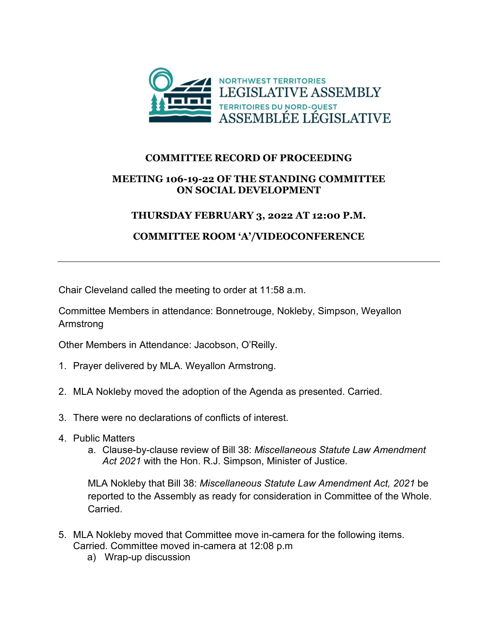

## **COMMITTEE RECORD OF PROCEEDING**

## **MEETING 106-19-22 OF THE STANDING COMMITTEE ON SOCIAL DEVELOPMENT**

## **THURSDAY FEBRUARY 3, 2022 AT 12:00 P.M.**

## **COMMITTEE ROOM 'A'/VIDEOCONFERENCE**

Chair Cleveland called the meeting to order at 11:58 a.m.

Committee Members in attendance: Bonnetrouge, Nokleby, Simpson, Weyallon Armstrong

Other Members in Attendance: Jacobson, O'Reilly.

- 1. Prayer delivered by MLA. Weyallon Armstrong.
- 2. MLA Nokleby moved the adoption of the Agenda as presented. Carried.
- 3. There were no declarations of conflicts of interest.
- 4. Public Matters
	- a. Clause-by-clause review of Bill 38: *Miscellaneous Statute Law Amendment Act 2021* with the Hon. R.J. Simpson, Minister of Justice.

MLA Nokleby that Bill 38: *Miscellaneous Statute Law Amendment Act, 2021* be reported to the Assembly as ready for consideration in Committee of the Whole. Carried.

- 5. MLA Nokleby moved that Committee move in-camera for the following items. Carried. Committee moved in-camera at 12:08 p.m
	- a) Wrap-up discussion